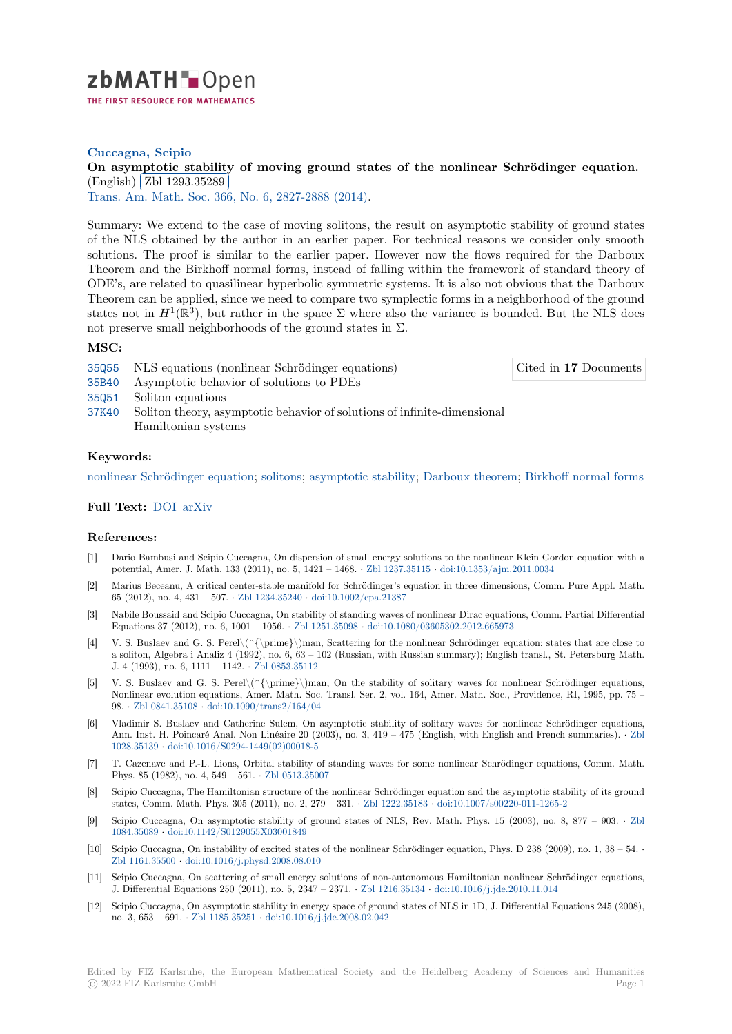

## **Cuccagna, Scipio**

# [O](https://zbmath.org/)n asymptotic stability of moving ground states of the nonlinear Schrödinger equation. (English) Zbl 1293.35289

✂ ✁ Trans. Am. Math. Soc. 366, No. 6, 2827-2888 (2014).

[Summary: We extend to the case of moving solitons, the result on asymptotic stability of ground state](https://zbmath.org/1293.35289)s of the N[LS obtained by the](https://zbmath.org/1293.35289) author in an earlier paper. For technical reasons we consider only smooth [solutions. The proof is](https://zbmath.org/journals/?q=se:744) [similar to the earlier paper.](https://zbmath.org/?q=in:333293) However now the flows required for the Darboux Theorem and the Birkhoff normal forms, instead of falling within the framework of standard theory of ODE's, are related to quasilinear hyperbolic symmetric systems. It is also not obvious that the Darboux Theorem can be applied, since we need to compare two symplectic forms in a neighborhood of the ground states not in  $H^1(\mathbb{R}^3)$ , but rather in the space  $\Sigma$  where also the variance is bounded. But the NLS does not preserve small neighborhoods of the ground states in  $\Sigma$ .

### **MSC:**

35Q55 NLS equations (nonlinear Schrödinger equations)

Cited in **17** Documents

- 35B40 Asymptotic behavior of solutions to PDEs
- 35Q51 Soliton equations
- 37K40 Soliton theory, asymptotic behavior of solutions of infinite-dimensional Hamiltonian systems

#### **[Keyw](https://zbmath.org/classification/?q=cc:35Q51)ords:**

[nonlin](https://zbmath.org/classification/?q=cc:37K40)ear Schrödinger equation; solitons; asymptotic stability; Darboux theorem; Birkhoff normal forms

## **Full Text:** DOI arXiv

#### **[References:](https://zbmath.org/?q=ut:nonlinear+Schr%C3%B6dinger+equation)**

- [1] Dario Bambusi and Scipio Cuccagna, On dispersion of small energy solutions to the nonlinear Klein Gordon equation with a potential, [Amer](https://dx.doi.org/10.1090/S0002-9947-2014-05770-X)[. J. Mat](https://arxiv.org/abs/1107.4954)h. 133 (2011), no. 5, 1421 – 1468. *·* Zbl 1237.35115 *·* doi:10.1353/ajm.2011.0034
- [2] Marius Beceanu, A critical center-stable manifold for Schrödinger's equation in three dimensions, Comm. Pure Appl. Math. 65 (2012), no. 4, 431 – 507. *·* Zbl 1234.35240 *·* doi:10.1002/cpa.21387
- [3] Nabile Boussaid and Scipio Cuccagna, On stability of standing waves of nonlinear Dirac equations, Comm. Partial Differential Equations 37 (2012), no. 6, 1001 – 1056. *·* Zbl 1251.35098 *·* [doi:10.1080/036](https://zbmath.org/1237.35115)0[5302.2012.665973](https://dx.doi.org/10.1353/ajm.2011.0034)
- [4] V. S. Buslaev and G. S. Perel\(^{\prime}\)man, Scattering for the nonlinear Schrödinger equation: states that are close to a soliton, Algebra i Analiz 4 [\(1992\), no. 6, 63](https://zbmath.org/1234.35240) [– 102 \(Russian, with R](https://dx.doi.org/10.1002/cpa.21387)ussian summary); English transl., St. Petersburg Math. J. 4 (1993), no. 6, 1111 – 1142. *·* Zbl 0853.35112
- [5] V. S. Buslaev and G. S. Perel\(^{\prim[e}\\)man, On th](https://zbmath.org/1251.35098)e [stability of solitary waves for non](https://dx.doi.org/10.1080/03605302.2012.665973)linear Schrödinger equations, Nonlinear evolution equations, Amer. Math. Soc. Transl. Ser. 2, vol. 164, Amer. Math. Soc., Providence, RI, 1995, pp. 75 – 98. *·* Zbl 0841.35108 *·* doi:10.1090/trans2/164/04
- [6] Vladimir S. Buslaev and Cather[ine Sulem, On](https://zbmath.org/0853.35112) asymptotic stability of solitary waves for nonlinear Schrödinger equations, Ann. Inst. H. Poincaré Anal. Non Linéaire 20 (2003), no. 3, 419 – 475 (English, with English and French summaries). *·* Zbl 1028.35139 *·* doi:10.1016/S0294-1449(02)00018-5
- [7] T. C[azenave and P.-](https://zbmath.org/0841.35108)L[. Lions, Orbital stability o](https://dx.doi.org/10.1090/trans2/164/04)f standing waves for some nonlinear Schrödinger equations, Comm. Math. Phys. 85 (1982), no. 4, 549 – 561. *·* Zbl 0513.35007
- [8] Scipio Cuccagna, The Hamiltonian structure of the nonlinear Schrödinger equation and the asymptotic stability of its gro[und](https://zbmath.org/1028.35139) [states, Com](https://zbmath.org/1028.35139)[m. Math. Phys. 305 \(2011\), no. 2, 27](https://dx.doi.org/10.1016/S0294-1449(02)00018-5)9 – 331. *·* Zbl 1222.35183 *·* doi:10.1007/s00220-011-1265-2
- [9] Scipio Cuccagna, On asymptotic stability of ground states of NLS, Rev. Math. Phys. 15 (2003), no. 8, 877 903. *·* Zbl 1084.35089 *·* doi:10.1142/S0129055[X03001849](https://zbmath.org/0513.35007)
- [10] Scipio Cuccagna, On instability of excited states of the nonlinear Schrödinger equation, Phys. D 238 (2009), no. 1, 38 54. *·* Zbl 1161.35500 *·* doi:10.1016/j.physd.2008.08.010
- [11] Scipio Cuccagna, On scattering of small energy solutions of non-autonomous Hamiltonian nonlinear Schrödinger equati[ons,](https://zbmath.org/1084.35089) [J. Different](https://zbmath.org/1084.35089)ia[l Equations 250 \(2011\), no. 5, 23](https://dx.doi.org/10.1142/S0129055X03001849)47 – 2371. *·* Zbl 1216.35134 *·* doi:10.1016/j.jde.2010.11.014
- [12] Scipio Cuccagna, On asymptotic stability in energy space of ground states of NLS in 1D, J. Differential Equations 245 (2008), [no. 3, 653 – 691](https://zbmath.org/1161.35500). *·* [Zbl 1185.35251](https://dx.doi.org/10.1016/j.physd.2008.08.010) *·* doi:10.1016/j.jde.2008.02.042